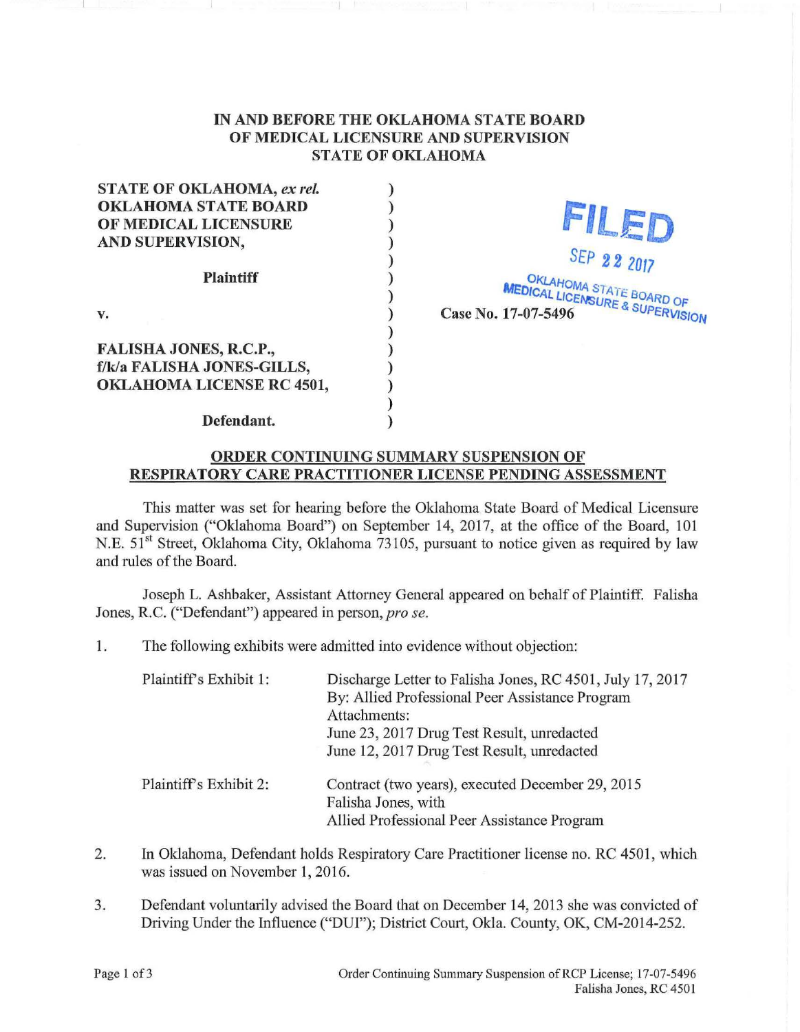## IN AND BEFORE THE OKLAHOMA STATE BOARD OF MEDICAL LICENSURE AND SUPERVISION STATE OF OKLAHOMA

) ) ) ) ) ) ) ) ) ) ) ) )

STATE OF OKLAHOMA, *ex rei.*  OKLAHOMA STATE BOARD OF MEDICAL LICENSURE AND SUPERVISION, Plaintiff v. FALISHA JONES, R.C.P., f/k/a FALISHA JONES-GILLS,

FILED SEP 22 2017

OKLAHOMA STATE BOARD OF **NSURE & SUARD OF** Case No. 17-07-5496  $\sim$   $\frac{Q}{Q}$  SUPERVISION

Defendant.

OKLAHOMA LICENSE RC 4501,

## ORDER CONTINUING SUMMARY SUSPENSION OF RESPIRATORY CARE PRACTITIONER LICENSE PENDING ASSESSMENT

This matter was set for hearing before the Oklahoma State Board of Medical Licensure and Supervision ("Oldahoma Board") on September 14, 2017, at the office of the Board, 101 N.E. 51<sup>st</sup> Street, Oklahoma City, Oklahoma 73105, pursuant to notice given as required by law and rules of the Board.

Joseph L. Ashbaker, Assistant Attorney General appeared on behalf of Plaintiff. Falisha Jones, R.C. ("Defendant") appeared in person, *pro se*.

1. The following exhibits were admitted into evidence without objection:

| Plaintiff's Exhibit 1: | Discharge Letter to Falisha Jones, RC 4501, July 17, 2017<br>By: Allied Professional Peer Assistance Program<br>Attachments: |
|------------------------|------------------------------------------------------------------------------------------------------------------------------|
|                        | June 23, 2017 Drug Test Result, unredacted<br>June 12, 2017 Drug Test Result, unredacted                                     |
| Plaintiff's Exhibit 2: | Contract (two years), executed December 29, 2015<br>Falisha Jones, with<br>Allied Professional Peer Assistance Program       |

- 2. In Oklahoma, Defendant holds Respiratory Care Practitioner license no. RC 4501, which was issued on November 1, 2016.
- 3. Defendant voluntarily advised the Board that on December 14, 2013 she was convicted of Driving Under the Influence ("DUI"); District Court, Okla. County, OK, CM-2014-252.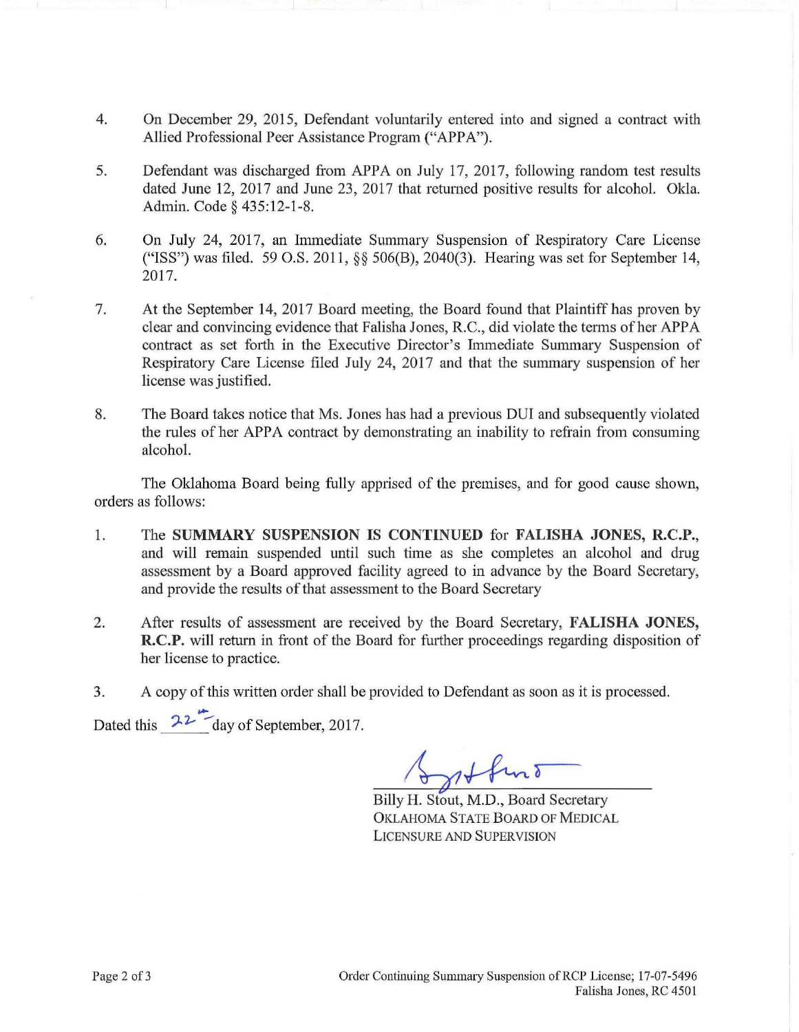- 4. On December 29, 2015, Defendant voluntarily entered into and signed a contract with Allied Professional Peer Assistance Program ("APPA").
- 5. Defendant was discharged from APPA on July 17, 2017, following random test results dated June 12, 2017 and June 23, 2017 that retumed positive results for alcohol. Okla. Admin. Code§ 435:12-1-8.
- 6. On July 24, 2017, an Immediate Summary Suspension of Respiratory Care License ("ISS") was filed. 59 O.S. 2011, §§ 506(B), 2040(3). Hearing was set for September 14, 2017.
- 7. At the September 14, 2017 Board meeting, the Board found that Plaintiff has proven by clear and convincing evidence that Falisha Jones, R.C., did violate the terms ofher APPA contract as set forth in the Executive Director's Immediate Summary Suspension of Respiratory Care License filed July 24, 2017 and that the summary suspension of her license was justified.
- 8. The Board takes notice that Ms. Jones has had a previous DUI and subsequently violated the rules of her APPA contract by demonstrating an inability to refrain from consuming alcohol.

The Oklahoma Board being fully apprised of the premises, and for good cause shown, orders as follows:

- 1. The **SUMMARY SUSPENSION IS CONTINUED** for **FALISHA JONES, R.C.P.,**  and will remain suspended until such time as she completes an alcohol and drug assessment by a Board approved facility agreed to in advance by the Board Secretary, and provide the results of that assessment to the Board Secretary
- 2. After results of assessment are received by the Board Secretary, **FALISHA JONES, R.C.P.** will return in front of the Board for further proceedings regarding disposition of her license to practice.
- 3. A copy of this written order shall be provided to Defendant as soon as it is processed.

.... Dated this  $2^2$  day of September, 2017.

Billy H. Stout, M.D., Board Secretary OKLAHOMA STATE BOARD OF MEDICAL LICENSURE AND SUPERVISION